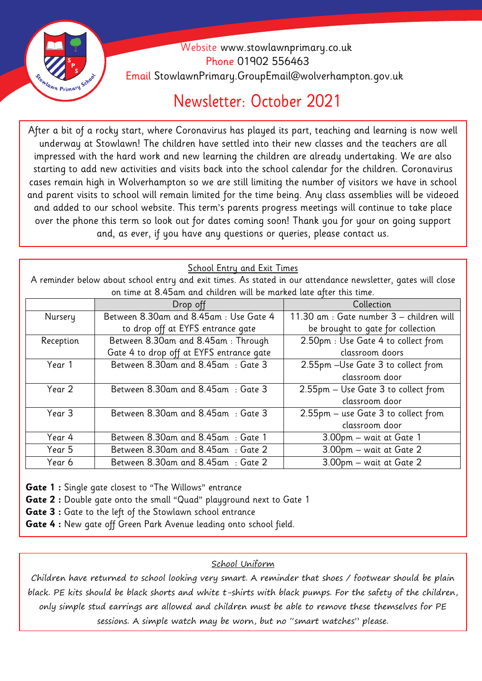

### Website [www.stowlawnprimary.co.uk](http://www.stowlawnprimary.co.uk/)  Phone 01902 556463 Email StowlawnPrimary.GroupEmail@wolverhampton.gov.uk

### Newsletter: October 2021

**Welecome**  underway at Stowlawn! The children have settled into their new classes and the teachers are all After a bit of a rocky start, where Coronavirus has played its part, teaching and learning is now well impressed with the hard work and new learning the children are already undertaking. We are also starting to add new activities and visits back into the school calendar for the children. Coronavirus cases remain high in Wolverhampton so we are still limiting the number of visitors we have in school and parent visits to school will remain limited for the time being. Any class assemblies will be videoed and added to our school website. This term's parents progress meetings will continue to take place over the phone this term so look out for dates coming soon! Thank you for your on going support and, as ever, if you have any questions or queries, please contact us.

#### **School Entry and Exit Times**

A reminder below about school entry and exit times. As stated in our attendance newsletter, gates will close on time at 8.45am and children will be marked late after this time.

|           | Drop off                                 | Collection                               |  |
|-----------|------------------------------------------|------------------------------------------|--|
| Nursery   | Between 8.30am and 8.45am: Use Gate 4    | 11.30 am : Gate number 3 - children will |  |
|           | to drop off at EYFS entrance gate        | be brought to gate for collection        |  |
| Reception | Between 8.30am and 8.45am: Through       | 2.50pm : Use Gate 4 to collect from      |  |
|           | Gate 4 to drop off at EYFS entrance gate | classroom doors                          |  |
| Year 1    | Between 8.30am and 8.45am : Gate 3       | 2.55pm - Use Gate 3 to collect from      |  |
|           |                                          | classroom door                           |  |
| Year 2    | Between 8.30am and 8.45am : Gate 3       | 2.55pm - Use Gate 3 to collect from      |  |
|           |                                          | classroom door                           |  |
| Year 3    | Between 8.30am and 8.45am : Gate 3       | 2.55pm - use Gate 3 to collect from      |  |
|           |                                          | classroom door                           |  |
| Year 4    | Between 8.30am and 8.45am : Gate 1       | 3.00pm – wait at Gate 1                  |  |
| Year 5    | Between 8.30am and 8.45am : Gate 2       | 3.00pm - wait at Gate 2                  |  |
| Year 6    | Between 8.30am and 8.45am : Gate 2       | 3.00pm - wait at Gate 2                  |  |

**Gate 1 :** Single gate closest to "The Willows" entrance

**Gate 2 :** Double gate onto the small "Quad" playground next to Gate 1

**Gate 3 :** Gate to the left of the Stowlawn school entrance

**Gate 4 :** New gate off Green Park Avenue leading onto school field.

#### School Uniform

Children have returned to school looking very smart. A reminder that shoes / footwear should be plain black. PE kits should be black shorts and white t-shirts with black pumps. For the safety of the children, only simple stud earrings are allowed and children must be able to remove these themselves for PE sessions. A simple watch may be worn, but no "smart watches" please.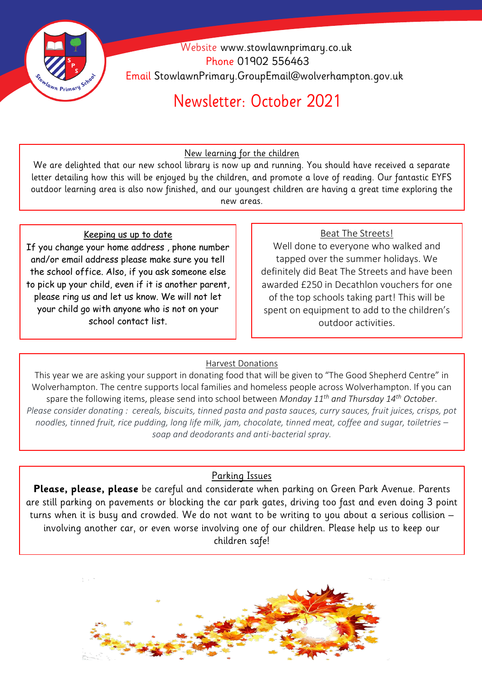

 Website [www.stowlawnprimary.co.uk](http://www.stowlawnprimary.co.uk/)  Phone 01902 556463 Email StowlawnPrimary.GroupEmail@wolverhampton.gov.uk

## Newsletter: October 2021

**Welecome**  New learning for the children

We are delighted that our new school library is now up and running. You should have received a separate letter detailing how this will be enjoyed by the children, and promote a love of reading. Our fantastic EYFS outdoor learning area is also now finished, and our youngest children are having a great time exploring the new areas.

#### Keeping us up to date

If you change your home address , phone number and/or email address please make sure you tell the school office. Also, if you ask someone else to pick up your child, even if it is another parent, please ring us and let us know. We will not let your child go with anyone who is not on your school contact list.

#### Beat The Streets!

Well done to everyone who walked and tapped over the summer holidays. We definitely did Beat The Streets and have been awarded £250 in Decathlon vouchers for one of the top schools taking part! This will be spent on equipment to add to the children's outdoor activities.

#### Harvest Donations

This year we are asking your support in donating food that will be given to "The Good Shepherd Centre" in Wolverhampton. The centre supports local families and homeless people across Wolverhampton. If you can spare the following items, please send into school between *Monday 11th and Thursday 14th October*. *Please consider donating : cereals, biscuits, tinned pasta and pasta sauces, curry sauces, fruit juices, crisps, pot noodles, tinned fruit, rice pudding, long life milk, jam, chocolate, tinned meat, coffee and sugar, toiletries – soap and deodorants and anti-bacterial spray.*

#### Parking Issues

**Please, please, please** be careful and considerate when parking on Green Park Avenue. Parents are still parking on pavements or blocking the car park gates, driving too fast and even doing 3 point turns when it is busy and crowded. We do not want to be writing to you about a serious collision – involving another car, or even worse involving one of our children. Please help us to keep our children safe!